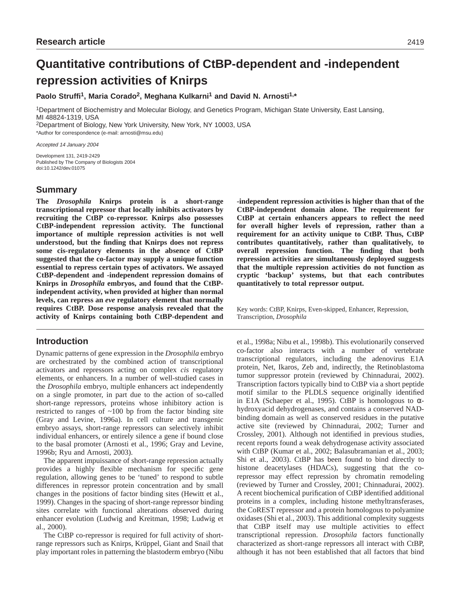# **Quantitative contributions of CtBP-dependent and -independent repression activities of Knirps**

**Paolo Struffi1, Maria Corado2, Meghana Kulkarni1 and David N. Arnosti1,\***

1Department of Biochemistry and Molecular Biology, and Genetics Program, Michigan State University, East Lansing, MI 48824-1319, USA

2Department of Biology, New York University, New York, NY 10003, USA

\*Author for correspondence (e-mail: arnosti@msu.edu)

Accepted 14 January 2004

Development 131, 2419-2429 Published by The Company of Biologists 2004 doi:10.1242/dev.01075

# **Summary**

**The** *Drosophila* **Knirps protein is a short-range transcriptional repressor that locally inhibits activators by recruiting the CtBP co-repressor. Knirps also possesses CtBP-independent repression activity. The functional importance of multiple repression activities is not well understood, but the finding that Knirps does not repress some cis-regulatory elements in the absence of CtBP suggested that the co-factor may supply a unique function essential to repress certain types of activators. We assayed CtBP-dependent and -independent repression domains of Knirps in** *Drosophila* **embryos, and found that the CtBPindependent activity, when provided at higher than normal levels, can repress an** *eve* **regulatory element that normally requires CtBP. Dose response analysis revealed that the activity of Knirps containing both CtBP-dependent and**

# **Introduction**

Dynamic patterns of gene expression in the *Drosophila* embryo are orchestrated by the combined action of transcriptional activators and repressors acting on complex *cis* regulatory elements, or enhancers. In a number of well-studied cases in the *Drosophila* embryo, multiple enhancers act independently on a single promoter, in part due to the action of so-called short-range repressors, proteins whose inhibitory action is restricted to ranges of  $~100$  bp from the factor binding site (Gray and Levine, 1996a). In cell culture and transgenic embryo assays, short-range repressors can selectively inhibit individual enhancers, or entirely silence a gene if bound close to the basal promoter (Arnosti et al., 1996; Gray and Levine, 1996b; Ryu and Arnosti, 2003).

The apparent impuissance of short-range repression actually provides a highly flexible mechanism for specific gene regulation, allowing genes to be 'tuned' to respond to subtle differences in repressor protein concentration and by small changes in the positions of factor binding sites (Hewitt et al., 1999). Changes in the spacing of short-range repressor binding sites correlate with functional alterations observed during enhancer evolution (Ludwig and Kreitman, 1998; Ludwig et al., 2000).

The CtBP co-repressor is required for full activity of shortrange repressors such as Knirps, Krüppel, Giant and Snail that play important roles in patterning the blastoderm embryo (Nibu **-independent repression activities is higher than that of the CtBP-independent domain alone. The requirement for CtBP at certain enhancers appears to reflect the need for overall higher levels of repression, rather than a requirement for an activity unique to CtBP. Thus, CtBP contributes quantitatively, rather than qualitatively, to overall repression function. The finding that both repression activities are simultaneously deployed suggests that the multiple repression activities do not function as cryptic 'backup' systems, but that each contributes quantitatively to total repressor output.**

Key words: CtBP, Knirps, Even-skipped, Enhancer, Repression, Transcription, *Drosophila*

et al., 1998a; Nibu et al., 1998b). This evolutionarily conserved co-factor also interacts with a number of vertebrate transcriptional regulators, including the adenovirus E1A protein, Net, Ikaros, Zeb and, indirectly, the Retinoblastoma tumor suppressor protein (reviewed by Chinnadurai, 2002). Transcription factors typically bind to CtBP via a short peptide motif similar to the PLDLS sequence originally identified in E1A (Schaeper et al., 1995). CtBP is homologous to  $\alpha$ hydroxyacid dehydrogenases, and contains a conserved NADbinding domain as well as conserved residues in the putative active site (reviewed by Chinnadurai, 2002; Turner and Crossley, 2001). Although not identified in previous studies, recent reports found a weak dehydrogenase activity associated with CtBP (Kumar et al., 2002; Balasubramanian et al., 2003; Shi et al., 2003). CtBP has been found to bind directly to histone deacetylases (HDACs), suggesting that the corepressor may effect repression by chromatin remodeling (reviewed by Turner and Crossley, 2001; Chinnadurai, 2002). A recent biochemical purification of CtBP identified additional proteins in a complex, including histone methyltransferases, the CoREST repressor and a protein homologous to polyamine oxidases (Shi et al., 2003). This additional complexity suggests that CtBP itself may use multiple activities to effect transcriptional repression. *Drosophila* factors functionally characterized as short-range repressors all interact with CtBP, although it has not been established that all factors that bind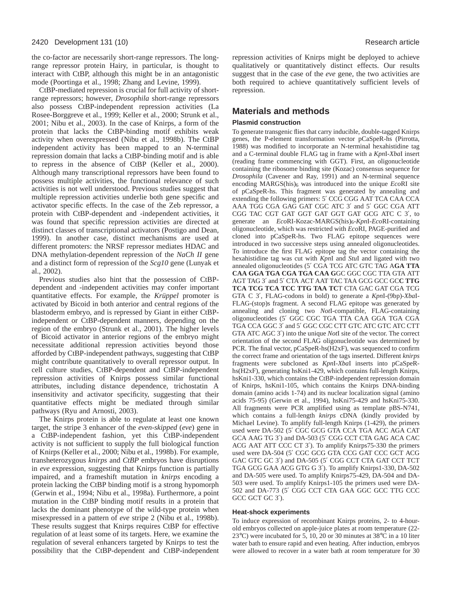the co-factor are necessarily short-range repressors. The longrange repressor protein Hairy, in particular, is thought to interact with CtBP, although this might be in an antagonistic mode (Poortinga et al., 1998; Zhang and Levine, 1999).

CtBP-mediated repression is crucial for full activity of shortrange repressors; however, *Drosophila* short-range repressors also possess CtBP-independent repression activities (La Rosee-Borggreve et al., 1999; Keller et al., 2000; Strunk et al., 2001; Nibu et al., 2003). In the case of Knirps, a form of the protein that lacks the CtBP-binding motif exhibits weak activity when overexpressed (Nibu et al., 1998b). The CtBP independent activity has been mapped to an N-terminal repression domain that lacks a CtBP-binding motif and is able to repress in the absence of CtBP (Keller et al., 2000). Although many transcriptional repressors have been found to possess multiple activities, the functional relevance of such activities is not well understood. Previous studies suggest that multiple repression activities underlie both gene specific and activator specific effects. In the case of the Zeb repressor, a protein with CtBP-dependent and -independent activities, it was found that specific repression activities are directed at distinct classes of transcriptional activators (Postigo and Dean, 1999). In another case, distinct mechanisms are used at different promoters: the NRSF repressor mediates HDAC and DNA methylation-dependent repression of the *NaCh II* gene and a distinct form of repression of the *Scg10* gene (Lunyak et al., 2002).

Previous studies also hint that the possession of CtBPdependent and -independent activities may confer important quantitative effects. For example, the *Krüppel* promoter is activated by Bicoid in both anterior and central regions of the blastoderm embryo, and is repressed by Giant in either CtBPindependent or CtBP-dependent manners, depending on the region of the embryo (Strunk et al., 2001). The higher levels of Bicoid activator in anterior regions of the embryo might necessitate additional repression activities beyond those afforded by CtBP-independent pathways, suggesting that CtBP might contribute quantitatively to overall repressor output. In cell culture studies, CtBP-dependent and CtBP-independent repression activities of Knirps possess similar functional attributes, including distance dependence, trichostatin A insensitivity and activator specificity, suggesting that their quantitative effects might be mediated through similar pathways (Ryu and Arnosti, 2003).

The Knirps protein is able to regulate at least one known target, the stripe 3 enhancer of the *even-skipped* (*eve*) gene in a CtBP-independent fashion, yet this CtBP-independent activity is not sufficient to supply the full biological function of Knirps (Keller et al., 2000; Nibu et al., 1998b). For example, transheterozygous *knirps* and *CtBP* embryos have disruptions in *eve* expression, suggesting that Knirps function is partially impaired, and a frameshift mutation in *knirps* encoding a protein lacking the CtBP binding motif is a strong hypomorph (Gerwin et al., 1994; Nibu et al., 1998a). Furthermore, a point mutation in the CtBP binding motif results in a protein that lacks the dominant phenotype of the wild-type protein when misexpressed in a pattern of *eve* stripe 2 (Nibu et al., 1998b). These results suggest that Knirps requires CtBP for effective regulation of at least some of its targets. Here, we examine the regulation of several enhancers targeted by Knirps to test the possibility that the CtBP-dependent and CtBP-independent repression activities of Knirps might be deployed to achieve qualitatively or quantitatively distinct effects. Our results suggest that in the case of the *eve* gene, the two activities are both required to achieve quantitatively sufficient levels of repression.

# **Materials and methods**

#### **Plasmid construction**

To generate transgenic flies that carry inducible, double-tagged Knirps genes, the P-element transformation vector pCaSpeR-hs (Pirrotta, 1988) was modified to incorporate an N-terminal hexahistidine tag and a C-terminal double FLAG tag in frame with a *Kpn*I*-Xba*I insert (reading frame commencing with GGT). First, an oligonucleotide containing the ribosome binding site (Kozac) consensus sequence for *Drosophila* (Cavener and Ray, 1991) and an N-terminal sequence encoding MARGS(his)6 was introduced into the unique *Eco*RI site of pCaSpeR-hs. This fragment was generated by annealing and extending the following primers: 5′ CCG CGG AAT TCA CAA CCA AAA TGG CGA GAG GAT CGC ATC 3′ and 5′ GGC CGA ATT CGG TAC CGT GAT GGT GAT GGT GAT GCG ATC C 3′, to generate an *Eco*RI-Kozac-MARGS(his)<sub>6</sub>-KpnI-EcoRI-containing oligonucleotide, which was restricted with *Eco*RI, PAGE-purified and cloned into pCaSpeR-hs. Two FLAG epitope sequences were introduced in two successive steps using annealed oligonucleotides. To introduce the first FLAG epitope tag the vector containing the hexahistidine tag was cut with *Kpn*I and *Stu*I and ligated with two annealed oligonucleotides (5′ CGA TCG ATC GTC TAG A**GA TTA CAA GGA TGA CGA TGA CAA G**GC GGC CGC TTA GTA ATT AGT TAG 3′ and 5′ CTA ACT AAT TAC TAA GCG GCC GC**C TTG TCA TCG TCA TCC TTG TAA TC**T CTA GAC GAT CGA TCG GTA C 3′, FLAG-codons in bold) to generate a *Kpn*I-(9bp)-*Xba*I-FLAG-(stop)s fragment. A second FLAG epitope was generated by annealing and cloning two *Not*I-compatible, FLAG-containing oligonucleotides (5′ GGC CGC TGA TTA CAA GGA TGA CGA TGA CCA GGC 3′ and 5′ GGC CGC CTT GTC ATC GTC ATC CTT GTA ATC AGC 3′) into the unique *Not*I site of the vector. The correct orientation of the second FLAG oligonucleotide was determined by PCR. The final vector, pCaSpeR-hs(H2xF), was sequenced to confirm the correct frame and orientation of the tags inserted. Different *knirps* fragments were subcloned as *Kpn*I-*Xba*I inserts into pCaSpeRhs(H2xF), generating hsKni1-429, which contains full-length Knirps, hsKni1-330, which contains the CtBP-independent repression domain of Knirps, hsKni1-105, which contains the Knirps DNA-binding domain (amino acids 1-74) and its nuclear localization signal (amino acids 75-95) (Gerwin et al., 1994), hsKni75-429 and hsKni75-330. All fragments were PCR amplified using as template pBS-N741, which contains a full-length *knirps* cDNA (kindly provided by Michael Levine). To amplify full-length Knirps (1-429), the primers used were DA-502 (5′ CGC GCG GTA CCA TGA ACC AGA CAT GCA AAG TG 3′) and DA-503 (5′ CGG CCT CTA GAG ACA CAC ACG AAT ATT CCC CT 3′). To amplify Knirps75-330 the primers used were DA-504 (5′ CGC GCG GTA CCG GAT CCC GCT ACG GAC GTC GC 3′) and DA-505 (5′ CGG CCT CTA GAT CCT TCT TGA GCG GAA ACG GTG G 3′). To amplify Knirps1-330, DA-502 and DA-505 were used. To amplify Knirps75-429, DA-504 and DA-503 were used. To amplify Knirps1-105 the primers used were DA-502 and DA-773 (5′ CGG CCT CTA GAA GGC GCC TTG CCC GCC GCT GC 3′).

#### **Heat-shock experiments**

To induce expression of recombinant Knirps proteins, 2- to 4-hourold embryos collected on apple-juice plates at room temperature (22- 23°C) were incubated for 5, 10, 20 or 30 minutes at 38°C in a 10 liter water bath to ensure rapid and even heating. After induction, embryos were allowed to recover in a water bath at room temperature for 30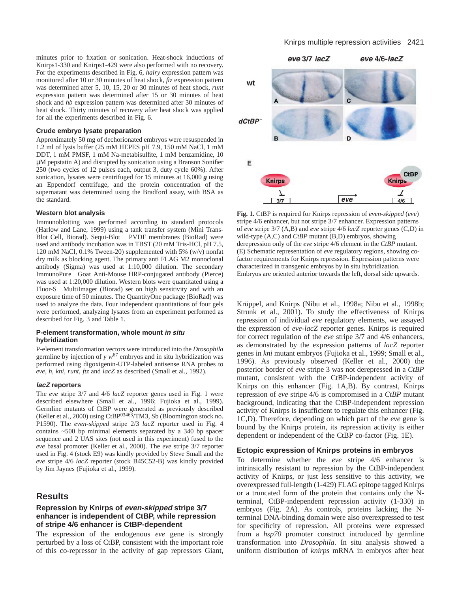minutes prior to fixation or sonication. Heat-shock inductions of Knirps1-330 and Knirps1-429 were also performed with no recovery. For the experiments described in Fig. 6, *hairy* expression pattern was monitored after 10 or 30 minutes of heat shock, *ftz* expression pattern was determined after 5, 10, 15, 20 or 30 minutes of heat shock, *runt* expression pattern was determined after 15 or 30 minutes of heat shock and *hb* expression pattern was determined after 30 minutes of heat shock. Thirty minutes of recovery after heat shock was applied for all the experiments described in Fig. 6.

#### **Crude embryo lysate preparation**

Approximately 50 mg of dechorionated embryos were resuspended in 1.2 ml of lysis buffer (25 mM HEPES pH 7.9, 150 mM NaCl, 1 mM DDT, 1 mM PMSF, 1 mM Na-metabisulfite, 1 mM benzamidine, 10 µM pepstatin A) and disrupted by sonication using a Branson Sonifier 250 (two cycles of 12 pulses each, output 3, duty cycle 60%). After sonication, lysates were centrifuged for 15 minutes at 16,000 *g* using an Eppendorf centrifuge, and the protein concentration of the supernatant was determined using the Bradford assay, with BSA as the standard.

#### **Western blot analysis**

Immunoblotting was performed according to standard protocols (Harlow and Lane, 1999) using a tank transfer system (Mini Trans-Blot Cell, Biorad). Sequi-Blot<sup>TM</sup> PVDF membranes (BioRad) were used and antibody incubation was in TBST (20 mM Tris-HCl, pH 7.5, 120 mM NaCl, 0.1% Tween-20) supplemented with 5% (w/v) nonfat dry milk as blocking agent. The primary anti FLAG M2 monoclonal antibody (Sigma) was used at 1:10,000 dilution. The secondary ImmunoPure<sup>®</sup> Goat Anti-Mouse HRP-conjugated antibody (Pierce) was used at 1:20,000 dilution. Western blots were quantitated using a Fluor- $S^{\circledR}$  MultiImager (Biorad) set on high sensitivity and with an exposure time of 50 minutes. The QuantityOne package (BioRad) was used to analyze the data. Four independent quantitations of four gels were performed, analyzing lysates from an experiment performed as described for Fig. 3 and Table 1.

#### **P-element transformation, whole mount in situ hybridization**

P-element transformation vectors were introduced into the *Drosophila* germline by injection of  $y w^{67}$  embryos and in situ hybridization was performed using digoxigenin-UTP-labeled antisense RNA probes to *eve*, *h*, *kni*, *runt*, *ftz* and *lacZ* as described (Small et al., 1992).

#### **lacZ reporters**

The *eve* stripe 3/7 and 4/6 *lacZ* reporter genes used in Fig. 1 were described elsewhere (Small et al., 1996; Fujioka et al., 1999). Germline mutants of CtBP were generated as previously described (Keller et al., 2000) using CtBP03463/TM3, Sb (Bloomington stock no. P1590). The *even-skipped* stripe 2/3 *lacZ* reporter used in Fig. 4 contains ~500 bp minimal elements separated by a 340 bp spacer sequence and 2 UAS sites (not used in this experiment) fused to the *eve* basal promoter (Keller et al., 2000). The *eve* stripe 3/7 reporter used in Fig. 4 (stock E9) was kindly provided by Steve Small and the *eve* stripe 4/6 *lacZ* reporter (stock B45C52-B) was kindly provided by Jim Jaynes (Fujioka et al., 1999).

# **Results**

#### **Repression by Knirps of even-skipped stripe 3/7 enhancer is independent of CtBP, while repression of stripe 4/6 enhancer is CtBP-dependent**

The expression of the endogenous *eve* gene is strongly perturbed by a loss of CtBP, consistent with the important role of this co-repressor in the activity of gap repressors Giant,

#### Knirps multiple repression activities 2421



**Fig. 1.** CtBP is required for Knirps repression of *even-skipped* (*eve*) stripe 4/6 enhancer, but not stripe 3/7 enhancer. Expression patterns of *eve* stripe 3/7 (A,B) and *eve* stripe 4/6 *lacZ* reporter genes (C,D) in wild-type (A,C) and *CtBP* mutant (B,D) embryos, showing derepression only of the *eve* stripe 4/6 element in the *CtBP* mutant. (E) Schematic representation of *eve* regulatory regions, showing cofactor requirements for Knirps repression. Expression patterns were characterized in transgenic embryos by in situ hybridization. Embryos are oriented anterior towards the left, dorsal side upwards.

Krüppel, and Knirps (Nibu et al., 1998a; Nibu et al., 1998b; Strunk et al., 2001). To study the effectiveness of Knirps repression of individual *eve* regulatory elements, we assayed the expression of *eve-lacZ* reporter genes. Knirps is required for correct regulation of the *eve* stripe 3/7 and 4/6 enhancers, as demonstrated by the expression patterns of *lacZ* reporter genes in *kni* mutant embryos (Fujioka et al., 1999; Small et al., 1996). As previously observed (Keller et al., 2000) the posterior border of *eve* stripe 3 was not derepressed in a *CtBP* mutant, consistent with the CtBP-independent activity of Knirps on this enhancer (Fig. 1A,B). By contrast, Knirps repression of *eve* stripe 4/6 is compromised in a *CtBP* mutant background, indicating that the CtBP-independent repression activity of Knirps is insufficient to regulate this enhancer (Fig. 1C,D). Therefore, depending on which part of the *eve* gene is bound by the Knirps protein, its repression activity is either dependent or independent of the CtBP co-factor (Fig. 1E).

#### **Ectopic expression of Knirps proteins in embryos**

To determine whether the *eve* stripe 4/6 enhancer is intrinsically resistant to repression by the CtBP-independent activity of Knirps, or just less sensitive to this activity, we overexpressed full-length (1-429) FLAG epitope tagged Knirps or a truncated form of the protein that contains only the Nterminal, CtBP-independent repression activity (1-330) in embryos (Fig. 2A). As controls, proteins lacking the Nterminal DNA-binding domain were also overexpressed to test for specificity of repression. All proteins were expressed from a *hsp70* promoter construct introduced by germline transformation into *Drosophila*. In situ analysis showed a uniform distribution of *knirps* mRNA in embryos after heat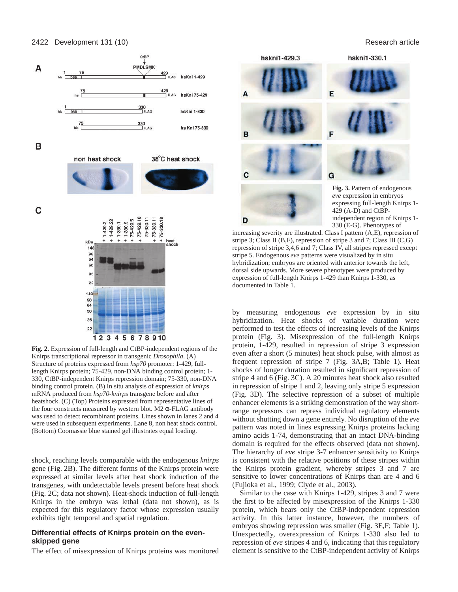

**Fig. 2.** Expression of full-length and CtBP-independent regions of the Knirps transcriptional repressor in transgenic *Drosophila*. (A) Structure of proteins expressed from *hsp70* promoter: 1-429, fulllength Knirps protein; 75-429, non-DNA binding control protein; 1- 330, CtBP-independent Knirps repression domain; 75-330, non-DNA binding control protein. (B) In situ analysis of expression of *knirps* mRNA produced from *hsp70-knirps* transgene before and after heatshock. (C) (Top) Proteins expressed from representative lines of the four constructs measured by western blot. M2 α-FLAG antibody was used to detect recombinant proteins. Lines shown in lanes 2 and 4 were used in subsequent experiments. Lane 8, non heat shock control. (Bottom) Coomassie blue stained gel illustrates equal loading.

shock, reaching levels comparable with the endogenous *knirps* gene (Fig. 2B). The different forms of the Knirps protein were expressed at similar levels after heat shock induction of the transgenes, with undetectable levels present before heat shock (Fig. 2C; data not shown). Heat-shock induction of full-length Knirps in the embryo was lethal (data not shown), as is expected for this regulatory factor whose expression usually exhibits tight temporal and spatial regulation.

#### **Differential effects of Knirps protein on the evenskipped gene**

The effect of misexpression of Knirps proteins was monitored

hskni1-429.3 hskni1-330.1 **Fig. 3.** Pattern of endogenous *eve* expression in embryos

B

C

D

expressing full-length Knirps 1- 429 (A-D) and CtBPindependent region of Knirps 1- 330 (E-G). Phenotypes of

increasing severity are illustrated. Class I pattern (A,E), repression of stripe 3; Class II (B,F), repression of stripe 3 and 7; Class III (C,G) repression of stripe 3,4,6 and 7; Class IV, all stripes repressed except stripe 5. Endogenous *eve* patterns were visualized by in situ hybridization; embryos are oriented with anterior towards the left, dorsal side upwards. More severe phenotypes were produced by expression of full-length Knirps 1-429 than Knirps 1-330, as documented in Table 1.

by measuring endogenous *eve* expression by in situ hybridization. Heat shocks of variable duration were performed to test the effects of increasing levels of the Knirps protein (Fig. 3). Misexpression of the full-length Knirps protein, 1-429, resulted in repression of stripe 3 expression even after a short (5 minutes) heat shock pulse, with almost as frequent repression of stripe 7 (Fig. 3A,B; Table 1). Heat shocks of longer duration resulted in significant repression of stripe 4 and 6 (Fig. 3C). A 20 minutes heat shock also resulted in repression of stripe 1 and 2, leaving only stripe 5 expression (Fig. 3D). The selective repression of a subset of multiple enhancer elements is a striking demonstration of the way shortrange repressors can repress individual regulatory elements without shutting down a gene entirely. No disruption of the *eve* pattern was noted in lines expressing Knirps proteins lacking amino acids 1-74, demonstrating that an intact DNA-binding domain is required for the effects observed (data not shown). The hierarchy of *eve* stripe 3-7 enhancer sensitivity to Knirps is consistent with the relative positions of these stripes within the Knirps protein gradient, whereby stripes 3 and 7 are sensitive to lower concentrations of Knirps than are 4 and 6 (Fujioka et al., 1999; Clyde et al., 2003).

Similar to the case with Knirps 1-429, stripes 3 and 7 were the first to be affected by misexpression of the Knirps 1-330 protein, which bears only the CtBP-independent repression activity. In this latter instance, however, the numbers of embryos showing repression was smaller (Fig. 3E,F; Table 1). Unexpectedly, overexpression of Knirps 1-330 also led to repression of *eve* stripes 4 and 6, indicating that this regulatory element is sensitive to the CtBP-independent activity of Knirps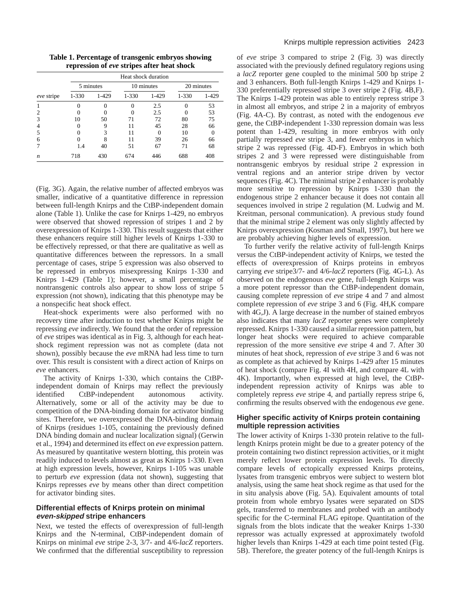**Table 1. Percentage of transgenic embryos showing repression of** *eve* **stripes after heat shock**

|                  | Heat shock duration |       |            |       |            |       |
|------------------|---------------------|-------|------------|-------|------------|-------|
|                  | 5 minutes           |       | 10 minutes |       | 20 minutes |       |
| eve stripe       | 1-330               | 1-429 | $1 - 330$  | 1-429 | $1 - 330$  | 1-429 |
|                  |                     |       | 0          | 2.5   |            | 53    |
| 2                |                     |       |            | 2.5   |            | 53    |
| 3                | 10                  | 50    | 71         | 72    | 80         | 75    |
| 4                |                     | 9     | 11         | 45    | 28         | 66    |
| 5                |                     | 3     | 11         |       | 10         |       |
| 6                |                     |       | 11         | 39    | 26         | 66    |
|                  | 1.4                 | 40    | 51         | 67    | 71         | 68    |
| $\boldsymbol{n}$ | 718                 | 430   | 674        | 446   | 688        | 408   |

(Fig. 3G). Again, the relative number of affected embryos was smaller, indicative of a quantitative difference in repression between full-length Knirps and the CtBP-independent domain alone (Table 1). Unlike the case for Knirps 1-429, no embryos were observed that showed repression of stripes 1 and 2 by overexpression of Knirps 1-330. This result suggests that either these enhancers require still higher levels of Knirps 1-330 to be effectively repressed, or that there are qualitative as well as quantitative differences between the repressors. In a small percentage of cases, stripe 5 expression was also observed to be repressed in embryos misexpressing Knirps 1-330 and Knirps 1-429 (Table 1); however, a small percentage of nontransgenic controls also appear to show loss of stripe 5 expression (not shown), indicating that this phenotype may be a nonspecific heat shock effect.

Heat-shock experiments were also performed with no recovery time after induction to test whether Knirps might be repressing *eve* indirectly. We found that the order of repression of *eve* stripes was identical as in Fig. 3, although for each heatshock regiment repression was not as complete (data not shown), possibly because the *eve* mRNA had less time to turn over. This result is consistent with a direct action of Knirps on *eve* enhancers.

The activity of Knirps 1-330, which contains the CtBPindependent domain of Knirps may reflect the previously identified CtBP-independent autonomous activity. Alternatively, some or all of the activity may be due to competition of the DNA-binding domain for activator binding sites. Therefore, we overexpressed the DNA-binding domain of Knirps (residues 1-105, containing the previously defined DNA binding domain and nuclear localization signal) (Gerwin et al., 1994) and determined its effect on *eve* expression pattern. As measured by quantitative western blotting, this protein was readily induced to levels almost as great as Knirps 1-330. Even at high expression levels, however, Knirps 1-105 was unable to perturb *eve* expression (data not shown), suggesting that Knirps represses *eve* by means other than direct competition for activator binding sites.

## **Differential effects of Knirps protein on minimal even-skipped stripe enhancers**

Next, we tested the effects of overexpression of full-length Knirps and the N-terminal, CtBP-independent domain of Knirps on minimal *eve* stripe 2-3, 3/7- and 4/6-*lacZ* reporters. We confirmed that the differential susceptibility to repression of *eve* stripe 3 compared to stripe 2 (Fig. 3) was directly associated with the previously defined regulatory regions using a *lacZ* reporter gene coupled to the minimal 500 bp stripe 2 and 3 enhancers. Both full-length Knirps 1-429 and Knirps 1- 330 preferentially repressed stripe 3 over stripe 2 (Fig. 4B,F). The Knirps 1-429 protein was able to entirely repress stripe 3 in almost all embryos, and stripe 2 in a majority of embryos (Fig. 4A-C). By contrast, as noted with the endogenous *eve* gene, the CtBP-independent 1-330 repression domain was less potent than 1-429, resulting in more embryos with only partially repressed *eve* stripe 3, and fewer embryos in which stripe 2 was repressed (Fig. 4D-F). Embryos in which both stripes 2 and 3 were repressed were distinguishable from nontransgenic embryos by residual stripe 2 expression in ventral regions and an anterior stripe driven by vector sequences (Fig. 4C). The minimal stripe 2 enhancer is probably more sensitive to repression by Knirps 1-330 than the endogenous stripe 2 enhancer because it does not contain all sequences involved in stripe 2 regulation (M. Ludwig and M. Kreitman, personal communication). A previous study found that the minimal stripe 2 element was only slightly affected by Knirps overexpression (Kosman and Small, 1997), but here we are probably achieving higher levels of expression.

To further verify the relative activity of full-length Knirps versus the CtBP-independent activity of Knirps, we tested the effects of overexpression of Knirps proteins in embryos carrying *eve* stripe3/7- and 4/6-*lacZ* reporters (Fig. 4G-L). As observed on the endogenous *eve* gene, full-length Knirps was a more potent repressor than the CtBP-independent domain, causing complete repression of *eve* stripe 4 and 7 and almost complete repression of *eve* stripe 3 and 6 (Fig. 4H,K compare with 4G,J). A large decrease in the number of stained embryos also indicates that many *lacZ* reporter genes were completely repressed. Knirps 1-330 caused a similar repression pattern, but longer heat shocks were required to achieve comparable repression of the more sensitive *eve* stripe 4 and 7. After 30 minutes of heat shock, repression of *eve* stripe 3 and 6 was not as complete as that achieved by Knirps 1-429 after 15 minutes of heat shock (compare Fig. 4I with 4H, and compare 4L with 4K). Importantly, when expressed at high level, the CtBPindependent repression activity of Knirps was able to completely repress *eve* stripe 4, and partially repress stripe 6, confirming the results observed with the endogenous *eve* gene.

# **Higher specific activity of Knirps protein containing multiple repression activities**

The lower activity of Knirps 1-330 protein relative to the fulllength Knirps protein might be due to a greater potency of the protein containing two distinct repression activities, or it might merely reflect lower protein expression levels. To directly compare levels of ectopically expressed Knirps proteins, lysates from transgenic embryos were subject to western blot analysis, using the same heat shock regime as that used for the in situ analysis above (Fig. 5A). Equivalent amounts of total protein from whole embryo lysates were separated on SDS gels, transferred to membranes and probed with an antibody specific for the C-terminal FLAG epitope. Quantitation of the signals from the blots indicate that the weaker Knirps 1-330 repressor was actually expressed at approximately twofold higher levels than Knirps 1-429 at each time point tested (Fig. 5B). Therefore, the greater potency of the full-length Knirps is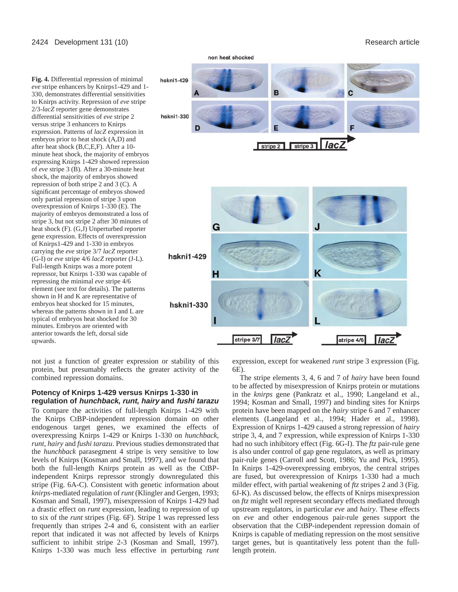



not just a function of greater expression or stability of this protein, but presumably reflects the greater activity of the combined repression domains.

### **Potency of Knirps 1-429 versus Knirps 1-330 in regulation of hunchback, runt, hairy and fushi tarazu**

To compare the activities of full-length Knirps 1-429 with the Knirps CtBP-independent repression domain on other endogenous target genes, we examined the effects of overexpressing Knirps 1-429 or Knirps 1-330 on *hunchback*, *runt*, *hairy* and *fushi tarazu*. Previous studies demonstrated that the *hunchback* parasegment 4 stripe is very sensitive to low levels of Knirps (Kosman and Small, 1997), and we found that both the full-length Knirps protein as well as the CtBPindependent Knirps repressor strongly downregulated this stripe (Fig. 6A-C). Consistent with genetic information about *knirps*-mediated regulation of *runt* (Klingler and Gergen, 1993; Kosman and Small, 1997), misexpression of Knirps 1-429 had a drastic effect on *runt* expression, leading to repression of up to six of the *runt* stripes (Fig. 6F). Stripe 1 was repressed less frequently than stripes 2-4 and 6, consistent with an earlier report that indicated it was not affected by levels of Knirps sufficient to inhibit stripe 2-3 (Kosman and Small, 1997). Knirps 1-330 was much less effective in perturbing *runt* expression, except for weakened *runt* stripe 3 expression (Fig. 6E).

The stripe elements 3, 4, 6 and 7 of *hairy* have been found to be affected by misexpression of Knirps protein or mutations in the *knirps* gene (Pankratz et al., 1990; Langeland et al., 1994; Kosman and Small, 1997) and binding sites for Knirps protein have been mapped on the *hairy* stripe 6 and 7 enhancer elements (Langeland et al., 1994; Hader et al., 1998). Expression of Knirps 1-429 caused a strong repression of *hairy* stripe 3, 4, and 7 expression, while expression of Knirps 1-330 had no such inhibitory effect (Fig. 6G-I). The *ftz* pair-rule gene is also under control of gap gene regulators, as well as primary pair-rule genes (Carroll and Scott, 1986; Yu and Pick, 1995). In Knirps 1-429-overexpressing embryos, the central stripes are fused, but overexpression of Knirps 1-330 had a much milder effect, with partial weakening of *ftz* stripes 2 and 3 (Fig. 6J-K). As discussed below, the effects of Knirps misexpression on *ftz* might well represent secondary effects mediated through upstream regulators, in particular *eve* and *hairy*. These effects on *eve* and other endogenous pair-rule genes support the observation that the CtBP-independent repression domain of Knirps is capable of mediating repression on the most sensitive target genes, but is quantitatively less potent than the fulllength protein.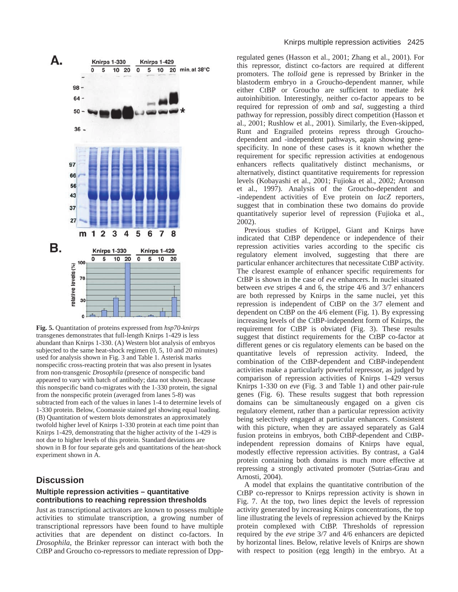

**Fig. 5.** Quantitation of proteins expressed from *hsp70-knirps* transgenes demonstrates that full-length Knirps 1-429 is less abundant than Knirps 1-330. (A) Western blot analysis of embryos subjected to the same heat-shock regimen (0, 5, 10 and 20 minutes) used for analysis shown in Fig. 3 and Table 1. Asterisk marks nonspecific cross-reacting protein that was also present in lysates from non-transgenic *Drosophila* (presence of nonspecific band appeared to vary with batch of antibody; data not shown). Because this nonspecific band co-migrates with the 1-330 protein, the signal from the nonspecific protein (averaged from lanes 5-8) was subtracted from each of the values in lanes 1-4 to determine levels of 1-330 protein. Below, Coomassie stained gel showing equal loading. (B) Quantitation of western blots demonstrates an approximately twofold higher level of Knirps 1-330 protein at each time point than Knirps 1-429, demonstrating that the higher activity of the 1-429 is not due to higher levels of this protein. Standard deviations are shown in B for four separate gels and quantitations of the heat-shock experiment shown in A.

# **Discussion**

#### **Multiple repression activities – quantitative contributions to reaching repression thresholds**

Just as transcriptional activators are known to possess multiple activities to stimulate transcription, a growing number of transcriptional repressors have been found to have multiple activities that are dependent on distinct co-factors. In *Drosophila*, the Brinker repressor can interact with both the CtBP and Groucho co-repressors to mediate repression of Dppregulated genes (Hasson et al., 2001; Zhang et al., 2001). For this repressor, distinct co-factors are required at different promoters. The *tolloid* gene is repressed by Brinker in the blastoderm embryo in a Groucho-dependent manner, while either CtBP or Groucho are sufficient to mediate *brk* autoinhibition. Interestingly, neither co-factor appears to be required for repression of *omb* and *sal*, suggesting a third pathway for repression, possibly direct competition (Hasson et al., 2001; Rushlow et al., 2001). Similarly, the Even-skipped, Runt and Engrailed proteins repress through Grouchodependent and -independent pathways, again showing genespecificity. In none of these cases is it known whether the requirement for specific repression activities at endogenous enhancers reflects qualitatively distinct mechanisms, or alternatively, distinct quantitative requirements for repression levels (Kobayashi et al., 2001; Fujioka et al., 2002; Aronson et al., 1997). Analysis of the Groucho-dependent and -independent activities of Eve protein on *lacZ* reporters, suggest that in combination these two domains do provide quantitatively superior level of repression (Fujioka et al., 2002).

Previous studies of Krüppel, Giant and Knirps have indicated that CtBP dependence or independence of their repression activities varies according to the specific cis regulatory element involved, suggesting that there are particular enhancer architectures that necessitate CtBP activity. The clearest example of enhancer specific requirements for CtBP is shown in the case of *eve* enhancers. In nuclei situated between *eve* stripes 4 and 6, the stripe 4/6 and 3/7 enhancers are both repressed by Knirps in the same nuclei, yet this repression is independent of CtBP on the 3/7 element and dependent on CtBP on the 4/6 element (Fig. 1). By expressing increasing levels of the CtBP-independent form of Knirps, the requirement for CtBP is obviated (Fig. 3). These results suggest that distinct requirements for the CtBP co-factor at different genes or cis regulatory elements can be based on the quantitative levels of repression activity. Indeed, the combination of the CtBP-dependent and CtBP-independent activities make a particularly powerful repressor, as judged by comparison of repression activities of Knirps 1-429 versus Knirps 1-330 on *eve* (Fig. 3 and Table 1) and other pair-rule genes (Fig. 6). These results suggest that both repression domains can be simultaneously engaged on a given cis regulatory element, rather than a particular repression activity being selectively engaged at particular enhancers. Consistent with this picture, when they are assayed separately as Gal4 fusion proteins in embryos, both CtBP-dependent and CtBPindependent repression domains of Knirps have equal, modestly effective repression activities. By contrast, a Gal4 protein containing both domains is much more effective at repressing a strongly activated promoter (Sutrias-Grau and Arnosti, 2004).

A model that explains the quantitative contribution of the CtBP co-repressor to Knirps repression activity is shown in Fig. 7. At the top, two lines depict the levels of repression activity generated by increasing Knirps concentrations, the top line illustrating the levels of repression achieved by the Knirps protein complexed with CtBP. Thresholds of repression required by the *eve* stripe 3/7 and 4/6 enhancers are depicted by horizontal lines. Below, relative levels of Knirps are shown with respect to position (egg length) in the embryo. At a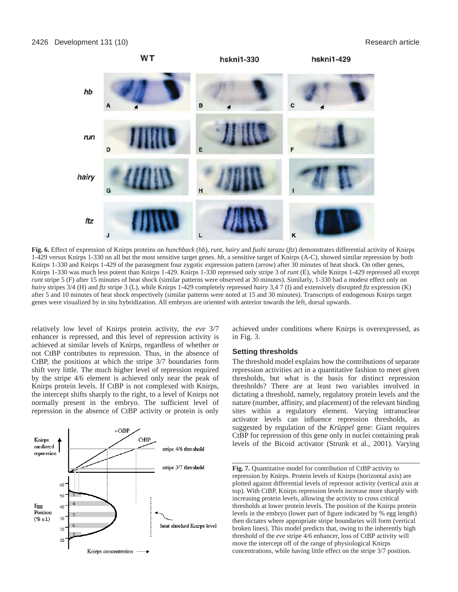

**Fig. 6.** Effect of expression of Knirps proteins on *hunchback* (*hb*), *runt*, *hairy* and *fushi tarazu* (*ftz*) demonstrates differential activity of Knirps 1-429 versus Knirps 1-330 on all but the most sensitive target genes. *hb*, a sensitive target of Knirps (A-C), showed similar repression by both Knirps 1-330 and Knirps 1-429 of the parasegment four zygotic expression pattern (arrow) after 30 minutes of heat shock. On other genes, Knirps 1-330 was much less potent than Knirps 1-429. Knirps 1-330 repressed only stripe 3 of *runt* (E), while Knirps 1-429 repressed all except *runt* stripe 5 (F) after 15 minutes of heat shock (similar patterns were observed at 30 minutes). Similarly, 1-330 had a modest effect only on *hairy* stripes 3/4 (H) and *ftz* stripe 3 (L), while Knirps 1-429 completely repressed *hairy* 3,4 7 (I) and extensively disrupted *ftz* expression (K) after 5 and 10 minutes of heat shock respectively (similar patterns were noted at 15 and 30 minutes). Transcripts of endogenous Knirps target genes were visualized by in situ hybridization. All embryos are oriented with anterior towards the left, dorsal upwards.

relatively low level of Knirps protein activity, the *eve* 3/7 enhancer is repressed, and this level of repression activity is achieved at similar levels of Knirps, regardless of whether or not CtBP contributes to repression. Thus, in the absence of CtBP, the positions at which the stripe 3/7 boundaries form shift very little. The much higher level of repression required by the stripe 4/6 element is achieved only near the peak of Knirps protein levels. If CtBP is not complexed with Knirps, the intercept shifts sharply to the right, to a level of Knirps not normally present in the embryo. The sufficient level of repression in the absence of CtBP activity or protein is only



achieved under conditions where Knirps is overexpressed, as in Fig. 3.

#### **Setting thresholds**

The threshold model explains how the contributions of separate repression activities act in a quantitative fashion to meet given thresholds, but what is the basis for distinct repression thresholds? There are at least two variables involved in dictating a threshold, namely, regulatory protein levels and the nature (number, affinity, and placement) of the relevant binding sites within a regulatory element. Varying intranuclear activator levels can influence repression thresholds, as suggested by regulation of the *Krüppel* gene: Giant requires CtBP for repression of this gene only in nuclei containing peak levels of the Bicoid activator (Strunk et al., 2001). Varying

**Fig. 7.** Quantitative model for contribution of CtBP activity to repression by Knirps. Protein levels of Knirps (horizontal axis) are plotted against differential levels of repressor activity (vertical axis at top). With CtBP, Knirps repression levels increase more sharply with increasing protein levels, allowing the activity to cross critical thresholds at lower protein levels. The position of the Knirps protein levels in the embryo (lower part of figure indicated by % egg length) then dictates where appropriate stripe boundaries will form (vertical broken lines). This model predicts that, owing to the inherently high threshold of the *eve* stripe 4/6 enhancer, loss of CtBP activity will move the intercept off of the range of physiological Knirps concentrations, while having little effect on the stripe 3/7 position.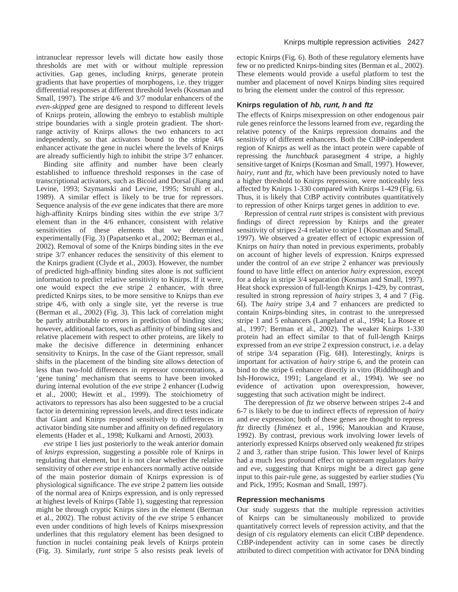intranuclear repressor levels will dictate how easily those thresholds are met with or without multiple repression activities. Gap genes, including *knirps*, generate protein gradients that have properties of morphogens, i.e. they trigger differential responses at different threshold levels (Kosman and Small, 1997). The stripe 4/6 and 3/7 modular enhancers of the *even-skipped* gene are designed to respond to different levels of Knirps protein, allowing the embryo to establish multiple stripe boundaries with a single protein gradient. The shortrange activity of Knirps allows the two enhancers to act independently, so that activators bound to the stripe 4/6 enhancer activate the gene in nuclei where the levels of Knirps are already sufficiently high to inhibit the stripe 3/7 enhancer.

Binding site affinity and number have been clearly established to influence threshold responses in the case of transcriptional activators, such as Bicoid and Dorsal (Jiang and Levine, 1993; Szymanski and Levine, 1995; Struhl et al., 1989). A similar effect is likely to be true for repressors. Sequence analysis of the *eve* gene indicates that there are more high-affinity Knirps binding sites within the *eve* stripe 3/7 element than in the 4/6 enhancer, consistent with relative sensitivities of these elements that we determined experimentally (Fig. 3) (Papatsenko et al., 2002; Berman et al., 2002). Removal of some of the Knirps binding sites in the *eve* stripe 3/7 enhancer reduces the sensitivity of this element to the Knirps gradient (Clyde et al., 2003). However, the number of predicted high-affinity binding sites alone is not sufficient information to predict relative sensitivity to Knirps. If it were, one would expect the *eve* stripe 2 enhancer, with three predicted Knirps sites, to be more sensitive to Knirps than *eve* stripe 4/6, with only a single site, yet the reverse is true (Berman et al., 2002) (Fig. 3). This lack of correlation might be partly attributable to errors in prediction of binding sites; however, additional factors, such as affinity of binding sites and relative placement with respect to other proteins, are likely to make the decisive difference in determining enhancer sensitivity to Knirps. In the case of the Giant repressor, small shifts in the placement of the binding site allows detection of less than two-fold differences in repressor concentrations, a 'gene tuning' mechanism that seems to have been invoked during internal evolution of the *eve* stripe 2 enhancer (Ludwig et al., 2000; Hewitt et al., 1999). The stoichiometry of activators to repressors has also been suggested to be a crucial factor in determining repression levels, and direct tests indicate that Giant and Knirps respond sensitively to differences in activator binding site number and affinity on defined regulatory elements (Hader et al., 1998; Kulkarni and Arnosti, 2003).

*eve* stripe 1 lies just posteriorly to the weak anterior domain of *knirps* expression, suggesting a possible role of Knirps in regulating that element, but it is not clear whether the relative sensitivity of other *eve* stripe enhancers normally active outside of the main posterior domain of Knirps expression is of physiological significance. The *eve* stripe 2 pattern lies outside of the normal area of Knirps expression, and is only repressed at highest levels of Knirps (Table 1), suggesting that repression might be through cryptic Knirps sites in the element (Berman et al., 2002). The robust activity of the *eve* stripe 5 enhancer even under conditions of high levels of Knirps misexpression underlines that this regulatory element has been designed to function in nuclei containing peak levels of Knirps protein (Fig. 3). Similarly, *runt* stripe 5 also resists peak levels of ectopic Knirps (Fig. 6). Both of these regulatory elements have few or no predicted Knirps-binding sites (Berman et al., 2002). These elements would provide a useful platform to test the number and placement of novel Knirps binding sites required to bring the element under the control of this repressor.

#### **Knirps regulation of hb, runt, h and ftz**

The effects of Knirps misexpression on other endogenous pair rule genes reinforce the lessons learned from *eve*, regarding the relative potency of the Knirps repression domains and the sensitivity of different enhancers. Both the CtBP-independent region of Knirps as well as the intact protein were capable of repressing the *hunchback* parasegment 4 stripe, a highly sensitive target of Knirps (Kosman and Small, 1997). However, *hairy*, *runt* and *ftz*, which have been previously noted to have a higher threshold to Knirps repression, were noticeably less affected by Knirps 1-330 compared with Knirps 1-429 (Fig. 6). Thus, it is likely that CtBP activity contributes quantitatively to repression of other Knirps target genes in addition to *eve*.

Repression of central *runt* stripes is consistent with previous findings of direct repression by Knirps and the greater sensitivity of stripes 2-4 relative to stripe 1 (Kosman and Small, 1997). We observed a greater effect of ectopic expression of Knirps on *hairy* than noted in previous experiments, probably on account of higher levels of expression. Knirps expressed under the control of an *eve* stripe 2 enhancer was previously found to have little effect on anterior *hairy* expression, except for a delay in stripe 3/4 separation (Kosman and Small, 1997). Heat shock expression of full-length Knirps 1-429, by contrast, resulted in strong repression of *hairy* stripes 3, 4 and 7 (Fig. 6I). The *hairy* stripe 3,4 and 7 enhancers are predicted to contain Knirps-binding sites, in contrast to the unrepressed stripe 1 and 5 enhancers (Langeland et al., 1994; La Rosee et al., 1997; Berman et al., 2002). The weaker Knirps 1-330 protein had an effect similar to that of full-length Knirps expressed from an *eve* stripe 2 expression construct, i.e. a delay of stripe 3/4 separation (Fig. 6H). Interestingly, *knirps* is important for activation of *hairy* stripe 6, and the protein can bind to the stripe 6 enhancer directly in vitro (Riddihough and Ish-Horowicz, 1991; Langeland et al., 1994). We see no evidence of activation upon overexpression, however, suggesting that such activation might be indirect.

The derepression of *ftz* we observe between stripes 2-4 and 6-7 is likely to be due to indirect effects of repression of *hairy* and *eve* expression; both of these genes are thought to repress *ftz* directly (Jiménez et al., 1996; Manoukian and Krause, 1992). By contrast, previous work involving lower levels of anteriorly expressed Knirps observed only weakened *ftz* stripes 2 and 3, rather than stripe fusion. This lower level of Knirps had a much less profound effect on upstream regulators *hairy* and *eve,* suggesting that Knirps might be a direct gap gene input to this pair-rule gene, as suggested by earlier studies (Yu and Pick, 1995; Kosman and Small, 1997).

#### **Repression mechanisms**

Our study suggests that the multiple repression activities of Knirps can be simultaneously mobilized to provide quantitatively correct levels of repression activity, and that the design of *cis* regulatory elements can elicit CtBP dependence. CtBP-independent activity can in some cases be directly attributed to direct competition with activator for DNA binding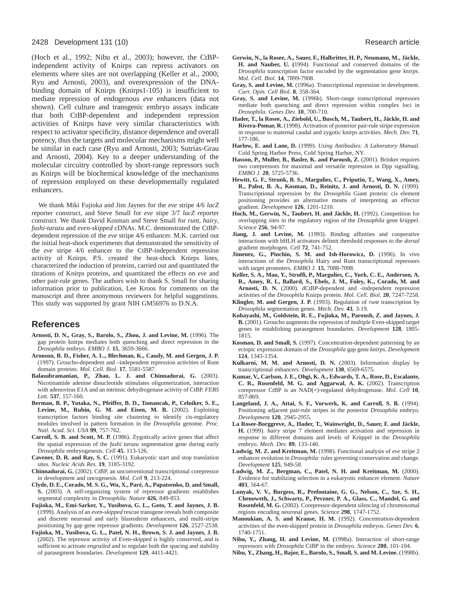#### 2428 Development 131 (10) Research article

(Hoch et al., 1992; Nibu et al., 2003); however, the CtBPindependent activity of Knirps can repress activators on elements where sites are not overlapping (Keller et al., 2000; Ryu and Arnosti, 2003), and overexpression of the DNAbinding domain of Knirps (Knirps1-105) is insufficient to mediate repression of endogenous *eve* enhancers (data not shown). Cell culture and transgenic embryo assays indicate that both CtBP-dependent and independent repression activities of Knirps have very similar characteristics with respect to activator specificity, distance dependence and overall potency, thus the targets and molecular mechanisms might well be similar in each case (Ryu and Arnosti, 2003; Sutrias-Grau and Arnosti, 2004). Key to a deeper understanding of the molecular circuitry controlled by short-range repressors such as Knirps will be biochemical knowledge of the mechanisms of repression employed on these developmentally regulated enhancers.

We thank Miki Fujioka and Jim Jaynes for the *eve* stripe 4/6 *lacZ* reporter construct, and Steve Small for *eve* stipe 3/7 *lacZ* reporter construct. We thank David Kosman and Steve Small for *runt*, *hairy*, *fushi-tarazu* and *even-skipped* cDNAs. M.C. demonstrated the CtBPdependent repression of the *eve* stripe 4/6 enhancer. M.K. carried out the initial heat-shock experiments that demonstrated the sensitivity of the *eve* stripe 4/6 enhancer to the CtBP-independent repression activity of Knirps. P.S. created the heat-shock Knirps lines, characterized the induction of proteins, carried out and quantitated the titrations of Knirps proteins, and quantitated the effects on *eve* and other pair-rule genes. The authors wish to thank S. Small for sharing information prior to publication, Lee Kroos for comments on the manuscript and three anonymous reviewers for helpful suggestions. This study was supported by grant NIH GM56976 to D.N.A.

# **References**

- **Arnosti, D. N., Gray, S., Barolo, S., Zhou, J. and Levine, M.** (1996). The gap protein knirps mediates both quenching and direct repression in the *Drosophila* embryo. *EMBO J*. **15**, 3659-3666.
- **Aronson, B. D., Fisher, A. L., Blechman, K., Caudy, M. and Gergen, J. P.** (1997). Groucho-dependent and –independent repression activities of Runt domain proteins. *Mol. Cell. Biol.* **17**, 5581-5587.
- **Balasubramanian, P., Zhao, L. J. and Chinnadurai, G.** (2003). Nicotinamide adenine dinucleotide stimulates oligomerization, interaction with adenovirus E1A and an intrinsic dehydrogenase activity of CtBP. *FEBS Lett.* **537**, 157-160.
- **Berman, B. P., Yutaka, N., Pfeiffer, B. D., Tomancak, P., Celniker, S. E.,** Levine, M., Rubin, G. M. and Eisen, M. B. (2002). Exploiting transcription factors binding site clustering to identify cis-regulatory modules involved in pattern formation in the *Drosophila* genome*. Proc. Natl. Acad. Sci. USA* **99**, 757-762.
- **Carroll, S. B. and Scott, M. P.** (1986). Zygotically active genes that affect the spatial expression of the *fushi tarazu* segmentation gene during early *Drosophila* embryogenesis. *Cell* **45**, 113-126.
- **Cavener, D. R. and Ray, S. C.** (1991). Eukaryotic start and stop translation sites*. Nucleic Acids Res.* **19**, 3185-3192.
- **Chinnadurai, G.** (2002). CtBP, an unconventional transcriptional corepressor in development and oncogenesis. *Mol. Cell* **9**, 213-224.
- **Clyde, D. E., Corado, M. S. G., Wu, X., Paré, A., Papatsenko, D. and Small, S.** (2003). A self-organizing system of repressor gradients establishes segmental complexity in *Drosophila*. *Nature* **426**, 849-853.
- **Fujioka, M., Emi-Sarker, Y., Yusibova, G. L., Goto, T. and Jaynes, J. B.** (1999). Analysis of an *even-skipped* rescue transgene reveals both composite and discrete neuronal and early blastoderm enhancers, and multi-stripe positioning by gap gene repressor gradients. *Development* **126**, 2527-2538.
- **Fujioka, M., Yusibova, G. L., Patel, N. H., Brown, S. J. and Jaynes, J. B.** (2002). The repressor activity of Even-skipped is highly conserved, and is sufficient to activate *engrailed* and to regulate both the spacing and stability of parasegment boundaries. *Development* **129**, 4411-4421.
- **Gerwin, N., la Rosee, A., Sauer, F., Halbritter, H. P., Neumann, M., Jäckle, H. and Nauber, U. (**1994). Functional and conserved domains of the *Drosophila* transcription factor encoded by the segmentation gene *knirps*. *Mol. Cell. Biol.* **14**, 7899-7908.
- **Gray, S. and Levine, M.** (1996a). Transcriptional repression in development*. Curr. Opin. Cell Biol.* **8**, 358-364.
- **Gray, S. and Levine, M.** (1996b). Short-range transcriptional repressors mediate both quenching and direct repression within complex loci in *Drosophila*. *Genes Dev.* **10**, 700-710.
- **Hader, T., la Rosee, A., Ziebold, U., Busch, M., Taubert, H., Jäckle, H. and Rivera-Pomar, R.** (1998). Activation of posterior pair-rule stripe expression in response to maternal caudal and zygotic knirps activities. *Mech. Dev.* **71**, 177-186.
- **Harlow, E. and Lane, D.** (1999). *Using Antibodies: A Laboratory Manual*. Cold Spring Harbor Press, Cold Spring Harbor, NY.
- Hasson, P., Muller, B., Basler, K. and Paroush, Z. (2001). Brinker requires two corepressors for maximal and versatile repression in Dpp signalling. *EMBO J.* **20**, 5725-5736.
- **Hewitt, G. F., Strunk, B. S., Margulies, C., Priputin, T., Wang, X., Amey, R., Pabst, B. A., Kosman, D., Reinitz, J. and Arnosti, D. N.** (1999). Transcriptional repression by the *Drosophila* Giant protein: cis element positioning provides an alternative means of interpreting an effector gradient. *Development* **126**, 1201-1210.
- Hoch, M., Gerwin, N., Taubert, H. and Jäckle, H. (1992). Competition for overlapping sites in the regulatory region of the *Drosophila* gene *krüppel*. *Science* **256**, 94-97.
- Jiang, J. and Levine, M. (1993). Binding affinities and cooperative interactions with bHLH activators delimit threshold responses to the *dorsal* gradient morphogen. *Cell* **72**, 741-752.
- Jimenez, G., Pinchin, S. M. and Ish-Horowicz, D. (1996). In vivo interactions of the *Drosophila* Hairy and Runt transcriptional repressors with target promoters. *EMBO J.* **15**, 7088-7098.
- **Keller, S. A., Mao, Y., Struffi, P., Margulies, C., Yurk, C. E., Anderson, A. R., Amey, R. L, Ballard, S., Ebels, J. M., Foley, K., Corado, M. and Arnosti, D. N.** (2000). dCtBP-dependent and -independent repression activities of the *Drosophila* Knirps protein. *Mol. Cell. Biol.* **20**, 7247-7258.
- **Klingler, M. and Gergen, J. P.** (1993). Regulation of *runt* transcription by *Drosophila* segmentation genes. *Mech. Dev.* **43**, 3-19.
- **Kobayashi, M., Goldstein, R. E., Fujioka, M., Paroush, Z. and Jaynes, J. B.** (2001). Groucho augments the repression of multiple Even-skipped target genes in establishing parasegment boundaries. *Development* **128**, 1805- 1815.
- **Kosman, D. and Small, S.** (1997). Concentration-dependent patterning by an ectopic expression domain of the *Drosophila* gap gene *knirps*. *Development* **124**, 1343-1354.
- **Kulkarni, M. M. and Arnosti, D. N.** (2003). Information display by transcriptional enhancers. *Development* **130**, 6569-6575.
- **Kumar, V., Carlson, J. E., Ohgi, K. A., Edwards, T. A., Rose, D., Escalante, C. R., Rosenfeld, M. G. and Aggarwal, A. K.** (2002). Transcription corepressor CtBP is an NAD(+)-regulated dehydrogenase. *Mol. Cell* **10**, 857-869.
- **Langeland, J. A., Attai, S. F., Vorwerk, K. and Carroll, S. B.** (1994). Positioning adjacent pair-rule stripes in the posterior *Drosophila* embryo. *Development* **120**, 2945-2955.
- **La Rosee-Borggreve, A., Hader, T., Wainwright, D., Sauer, F. and Jäckle, H.** (1999). *hairy* stripe 7 element mediates activation and repression in response to different domains and levels of Krüppel in the *Drosophila* embryo. *Mech. Dev.* **89**, 133-140.
- **Ludwig, M. Z. and Kreitman, M.** (1998). Functional analysis of *eve* stripe 2 enhancer evolution in *Drosophila*: rules governing conservation and change. *Development* **125**, 949-58.
- **Ludwig, M. Z., Bergman, C., Patel, N. H. and Kreitman, M.** (2000). Evidence for stabilizing selection in a eukaryotic enhancer element. *Nature* **403**, 564-67.
- **Lunyak, V. V., Burgess, R., Prefontaine, G. G., Nelson, C., Sze, S. H., Chenoweth, J., Schwartz, P., Pevzner, P. A., Glass, C., Mandel, G. and Rosenfeld, M. G. (2002).** Corepressor-dependent silencing of chromosomal regions encoding neuronal genes. *Science* **298**, 1747-1752.
- **Manoukian, A. S. and Krause, H. M.** (1992). Concentration-dependent activities of the even-skipped protein in *Drosophila* embryos. *Genes Dev.* **6**, 1740-1751.
- **Nibu, Y., Zhang, H. and Levine, M. (**1998a). Interaction of short-range repressors with *Drosophila* CtBP in the embryo. *Science* **280**, 101-104.
- **Nibu, Y., Zhang, H., Bajor, E., Barolo, S., Small, S. and M. Levine.** (1998b).